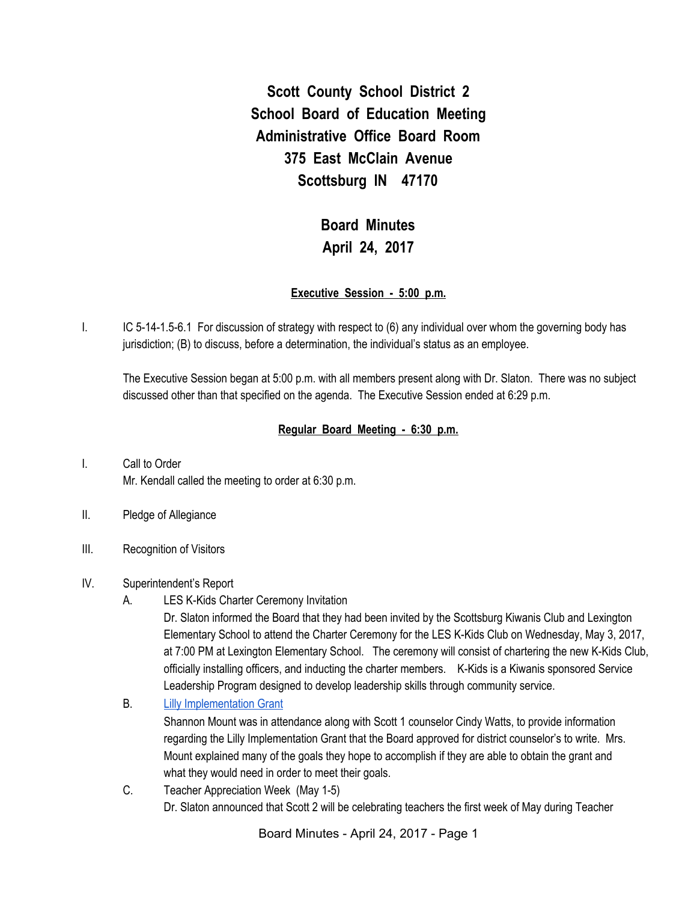**Scott County School District 2 School Board of Education Meeting Administrative Office Board Room 375 East McClain Avenue Scottsburg IN 47170**

# **Board Minutes April 24, 2017**

#### **Executive Session - 5:00 p.m.**

I. IC 5-14-1.5-6.1 For discussion of strategy with respect to (6) any individual over whom the governing body has jurisdiction; (B) to discuss, before a determination, the individual's status as an employee.

The Executive Session began at 5:00 p.m. with all members present along with Dr. Slaton. There was no subject discussed other than that specified on the agenda. The Executive Session ended at 6:29 p.m.

#### **Regular Board Meeting - 6:30 p.m.**

- I. Call to Order Mr. Kendall called the meeting to order at 6:30 p.m.
- II. Pledge of Allegiance
- III. Recognition of Visitors

#### IV. Superintendent's Report

A. LES K-Kids Charter Ceremony Invitation

Dr. Slaton informed the Board that they had been invited by the Scottsburg Kiwanis Club and Lexington Elementary School to attend the Charter Ceremony for the LES K-Kids Club on Wednesday, May 3, 2017, at 7:00 PM at Lexington Elementary School. The ceremony will consist of chartering the new K-Kids Club, officially installing officers, and inducting the charter members. K-Kids is a Kiwanis sponsored Service Leadership Program designed to develop leadership skills through community service.

B. Lilly [Implementation](https://docs.google.com/presentation/d/1ouR5vM6jO2P5DYJKxZAxNC2UaoFCWXJ24p67NAZ38pc/edit?ts=58fe4985#slide=id.p) Grant

Shannon Mount was in attendance along with Scott 1 counselor Cindy Watts, to provide information regarding the Lilly Implementation Grant that the Board approved for district counselor's to write. Mrs. Mount explained many of the goals they hope to accomplish if they are able to obtain the grant and what they would need in order to meet their goals.

C. Teacher Appreciation Week (May 1-5) Dr. Slaton announced that Scott 2 will be celebrating teachers the first week of May during Teacher

Board Minutes - April 24, 2017 - Page 1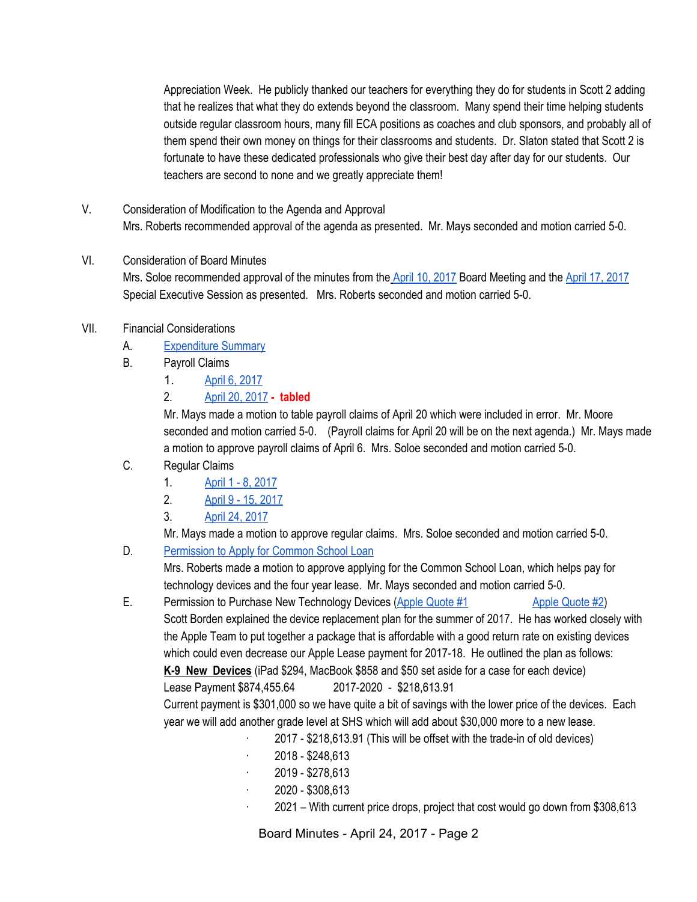Appreciation Week. He publicly thanked our teachers for everything they do for students in Scott 2 adding that he realizes that what they do extends beyond the classroom. Many spend their time helping students outside regular classroom hours, many fill ECA positions as coaches and club sponsors, and probably all of them spend their own money on things for their classrooms and students. Dr. Slaton stated that Scott 2 is fortunate to have these dedicated professionals who give their best day after day for our students. Our teachers are second to none and we greatly appreciate them!

V. Consideration of Modification to the Agenda and Approval Mrs. Roberts recommended approval of the agenda as presented. Mr. Mays seconded and motion carried 5-0.

# VI. Consideration of Board Minutes

Mrs. Soloe recommended approval of the minutes from the [A](https://docs.google.com/document/d/11h1f4ZVUNkkqn4kFXXx3QtcSUlys4EpBOmj3VYXOzLQ/edit)pril 10, [2017](https://docs.google.com/document/d/11h1f4ZVUNkkqn4kFXXx3QtcSUlys4EpBOmj3VYXOzLQ/edit) Board Meeting and the April 17, [2017](https://docs.google.com/document/d/1IdVGcKvuK_feNL-QEnIopLPrQjI4DicpR9b2a1naIHQ/edit) Special Executive Session as presented. Mrs. Roberts seconded and motion carried 5-0.

#### VII. Financial Considerations

- A. [Expenditure](https://drive.google.com/file/d/0BxXvxnGh3EX1QUpfQlhkZ3RSYWtpMmZETkVMY1RIUE1YQlhF/view) Summary
- B. Payroll Claims
	- 1. April 6, [2017](https://drive.google.com/file/d/0BxXvxnGh3EX1anFXVGpZVkdTWHd3SFd3NUNPbm5wYkd5NmZB/view)
	- 2. April 20, [2017](https://drive.google.com/file/d/0BxXvxnGh3EX1RVR5dGpFenAwUlZmc3VpQ1MzRXJ0S0tRTVV3/view) **- tabled**

Mr. Mays made a motion to table payroll claims of April 20 which were included in error. Mr. Moore seconded and motion carried 5-0. (Payroll claims for April 20 will be on the next agenda.) Mr. Mays made a motion to approve payroll claims of April 6. Mrs. Soloe seconded and motion carried 5-0.

- C. Regular Claims
	- 1. April 1 8, [2017](https://drive.google.com/file/d/0BxXvxnGh3EX1SG5BWkFJc29WRFlRNU95MDZUSmJoQ1h3dTNJ/view)
	- 2. April 9 15, [2017](https://drive.google.com/file/d/0BxXvxnGh3EX1VG1uTUdGYS1VcW9nUV84V09fMUxtdm9CZWtj/view)
	- 3. April 24, [2017](https://drive.google.com/file/d/0BxXvxnGh3EX1d09VUmM1ajQ2X3ZNWDdETW5aNzZUUzgwcVpN/view)

Mr. Mays made a motion to approve regular claims. Mrs. Soloe seconded and motion carried 5-0.

D. [Permission](https://drive.google.com/file/d/0BxXvxnGh3EX1VGZHMmd6VHFjRGkwS1I1Zjl0bmVWZEs0aUtn/view) to Apply for Common School Loan

Mrs. Roberts made a motion to approve applying for the Common School Loan, which helps pay for technology devices and the four year lease. Mr. Mays seconded and motion carried 5-0.

- E. Permission to Purchase New Technology Devices (Apple [Quote](https://drive.google.com/file/d/0BxXvxnGh3EX1ZUlwTXlSYWxJeVkxNldRM0I4WHQzOVIyQ2Fz/view) #1 Apple Quote #2) Scott Borden explained the device replacement plan for the summer of 2017. He has worked closely with the Apple Team to put together a package that is affordable with a good return rate on existing devices which could even decrease our Apple Lease payment for 2017-18. He outlined the plan as follows: **K-9 New Devices** (iPad \$294, MacBook \$858 and \$50 set aside for a case for each device) Lease Payment \$874,455.64 2017-2020 - \$218,613.91 Current payment is \$301,000 so we have quite a bit of savings with the lower price of the devices. Each year we will add another grade level at SHS which will add about \$30,000 more to a new lease.
	- · 2017 \$218,613.91 (This will be offset with the trade-in of old devices)
	- · 2018 \$248,613
	- · 2019 \$278,613
	- $\cdot$  2020 \$308,613
	- · 2021 With current price drops, project that cost would go down from \$308,613

Board Minutes - April 24, 2017 - Page 2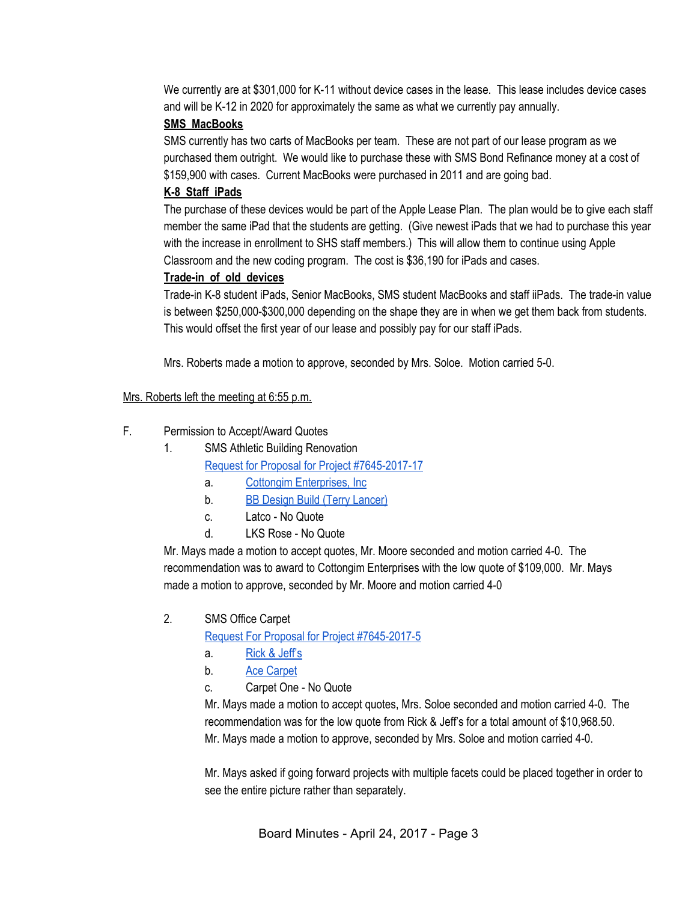We currently are at \$301,000 for K-11 without device cases in the lease. This lease includes device cases and will be K-12 in 2020 for approximately the same as what we currently pay annually.

#### **SMS MacBooks**

SMS currently has two carts of MacBooks per team. These are not part of our lease program as we purchased them outright. We would like to purchase these with SMS Bond Refinance money at a cost of \$159,900 with cases. Current MacBooks were purchased in 2011 and are going bad.

#### **K-8 Staff iPads**

The purchase of these devices would be part of the Apple Lease Plan. The plan would be to give each staff member the same iPad that the students are getting. (Give newest iPads that we had to purchase this year with the increase in enrollment to SHS staff members.) This will allow them to continue using Apple Classroom and the new coding program. The cost is \$36,190 for iPads and cases.

#### **Trade-in of old devices**

Trade-in K-8 student iPads, Senior MacBooks, SMS student MacBooks and staff iiPads. The trade-in value is between \$250,000-\$300,000 depending on the shape they are in when we get them back from students. This would offset the first year of our lease and possibly pay for our staff iPads.

Mrs. Roberts made a motion to approve, seconded by Mrs. Soloe. Motion carried 5-0.

Mrs. Roberts left the meeting at 6:55 p.m.

#### F. Permission to Accept/Award Quotes

1. SMS Athletic Building Renovation

Request for Proposal for Project [#7645-2017-17](https://drive.google.com/file/d/0BxXvxnGh3EX1M0pnclhJYlZOa0hMYWVfeUZDZ1RraUowQzhB/view)

- a. Cottongim [Enterprises,](https://drive.google.com/file/d/0BxXvxnGh3EX1LUdtMENid1RnanFSS1hDUzVPVGx0R3pCZ2JF/view) Inc.
- b. BB Design Build (Terry [Lancer\)](https://drive.google.com/file/d/0BxXvxnGh3EX1eTlmQTVPLXRfdGNsa1Z0R2VxeFhQTUNPdzdN/view)
- c. Latco No Quote
- d. LKS Rose No Quote

Mr. Mays made a motion to accept quotes, Mr. Moore seconded and motion carried 4-0. The recommendation was to award to Cottongim Enterprises with the low quote of \$109,000. Mr. Mays made a motion to approve, seconded by Mr. Moore and motion carried 4-0

2. SMS Office Carpet

Request For Proposal for Project [#7645-2017-5](https://drive.google.com/file/d/0BxXvxnGh3EX1SUl5VWppRmoycm5aSVh2SjlaQW5pd1pqenhV/view)

- a. Rick & [Jeff's](https://drive.google.com/file/d/0BxXvxnGh3EX1eXlPSW9TOFRtR2ZPRVpLYmt6LWljSURkTXQw/view)
- b. Ace [Carpet](https://drive.google.com/file/d/0BxXvxnGh3EX1NFVXbDJNYXo0ODZ2cm5jZEpsYnFIb0gtSFlR/view)
- c. Carpet One No Quote

Mr. Mays made a motion to accept quotes, Mrs. Soloe seconded and motion carried 4-0. The recommendation was for the low quote from Rick & Jeff's for a total amount of \$10,968.50. Mr. Mays made a motion to approve, seconded by Mrs. Soloe and motion carried 4-0.

Mr. Mays asked if going forward projects with multiple facets could be placed together in order to see the entire picture rather than separately.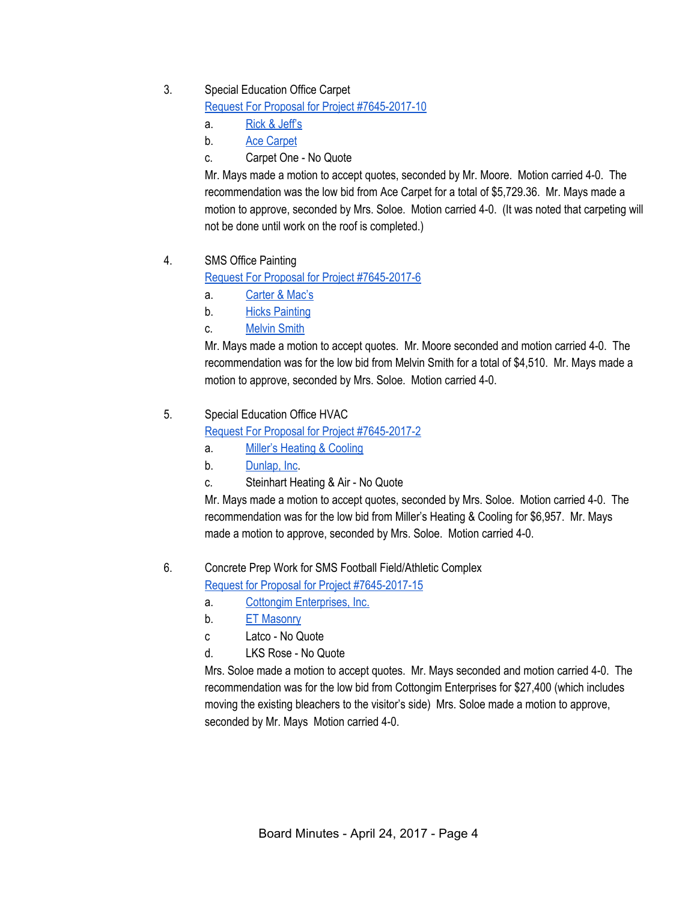#### 3. Special Education Office Carpet

Request For Proposal for Project [#7645-2017-10](https://drive.google.com/file/d/0BxXvxnGh3EX1VFZIOUh6TU45c0xSYmE0REthZ0RHTEQwU3JN/view)

- a. Rick & [Jeff's](https://drive.google.com/file/d/0BxXvxnGh3EX1clU5OUFTbEdsZy1jWTFPckdvSmk1dkI3MjlZ/view)
- b. Ace [Carpet](https://drive.google.com/file/d/0BxXvxnGh3EX1cGItYlhoeEFiRm9mQ0ZlaFlrdFNmUXkzdGNJ/view)
- c. Carpet One No Quote

Mr. Mays made a motion to accept quotes, seconded by Mr. Moore. Motion carried 4-0. The recommendation was the low bid from Ace Carpet for a total of \$5,729.36. Mr. Mays made a motion to approve, seconded by Mrs. Soloe. Motion carried 4-0. (It was noted that carpeting will not be done until work on the roof is completed.)

# 4. SMS Office Painting

Request For Proposal for Project [#7645-2017-6](https://drive.google.com/file/d/0BxXvxnGh3EX1ZFA0WGxEbkRYMjFmUzlMWTJaUUNiTUk0U3FB/view)

- a. [Carter](https://drive.google.com/file/d/0BxXvxnGh3EX1elFUdjFNX01JWk4weFpPOTUzaHBPcGc5ak9r/view) & Mac's
- b. Hicks [Painting](https://drive.google.com/file/d/0BxXvxnGh3EX1TEhrZFFjU01IS2t2VVpueWdzS2ZwQm5aNTE0/view)
- c. [Melvin](https://drive.google.com/file/d/0BxXvxnGh3EX1YWVzNy1KZzhWVlVSRk5wWDV2QnZVWTctVnV3/view) Smith

Mr. Mays made a motion to accept quotes. Mr. Moore seconded and motion carried 4-0. The recommendation was for the low bid from Melvin Smith for a total of \$4,510. Mr. Mays made a motion to approve, seconded by Mrs. Soloe. Motion carried 4-0.

#### 5. Special Education Office HVAC

Request For Proposal for Project [#7645-2017-2](https://drive.google.com/file/d/0BxXvxnGh3EX1VmdVQ0t0Z1JLOFZMQkd6NzdwTl9uYU1ZcHVF/view)

- a. Miller's [Heating](https://drive.google.com/file/d/0BxXvxnGh3EX1Qjc2VTNSbEhYd0RBOGdSU3pBdXR0aUVvMGQ4/view) & Cooling
- b. [Dunlap,](https://drive.google.com/file/d/0BxXvxnGh3EX1QldCN0JaWWdadWN1U3FRMTA1Skh5NGZWWE9j/view) Inc.
- c. Steinhart Heating & Air No Quote

Mr. Mays made a motion to accept quotes, seconded by Mrs. Soloe. Motion carried 4-0. The recommendation was for the low bid from Miller's Heating & Cooling for \$6,957. Mr. Mays made a motion to approve, seconded by Mrs. Soloe. Motion carried 4-0.

# 6. Concrete Prep Work for SMS Football Field/Athletic Complex

Request for Proposal for Project [#7645-2017-15](https://drive.google.com/file/d/0BxXvxnGh3EX1Q01xSEtiSnF1MGNkSzAtUTI4dGlzaUxKRk1Z/view)

- a. Cottongim [Enterprises,](https://drive.google.com/file/d/0BxXvxnGh3EX1Unpqb1AtRGhTdzI2Skg1X0FVSC1iR0NpQWNZ/view) Inc.
- b. ET [Masonry](https://drive.google.com/file/d/0BxXvxnGh3EX1WVlzUFJfekQtVmJZT0FkM2dTeWltei1laEgw/view)
- c Latco No Quote
- d. LKS Rose No Quote

Mrs. Soloe made a motion to accept quotes. Mr. Mays seconded and motion carried 4-0. The recommendation was for the low bid from Cottongim Enterprises for \$27,400 (which includes moving the existing bleachers to the visitor's side) Mrs. Soloe made a motion to approve, seconded by Mr. Mays Motion carried 4-0.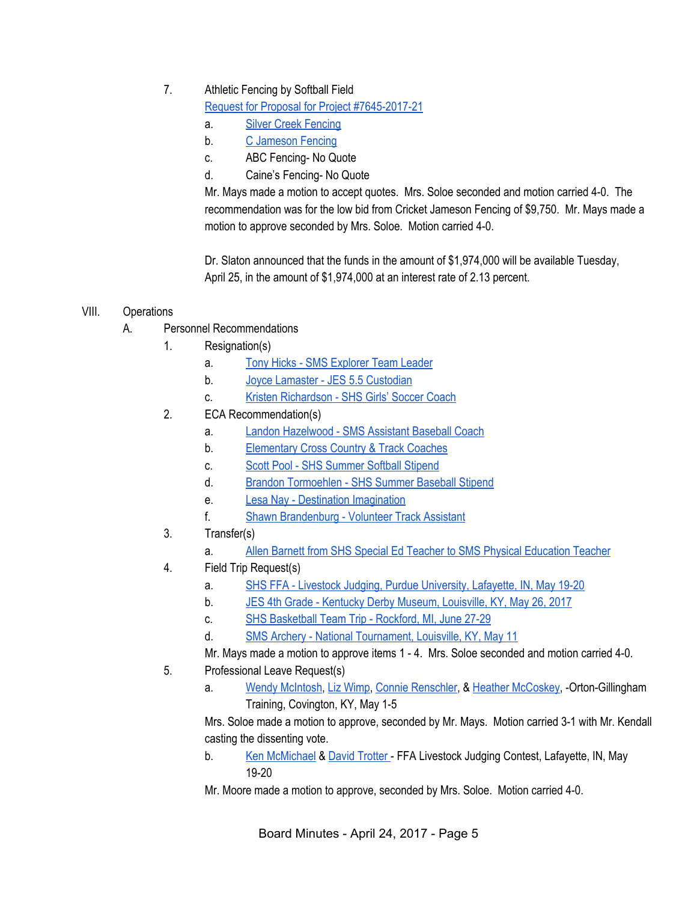# 7. Athletic Fencing by Softball Field

Request for Proposal for Project [#7645-2017-21](https://drive.google.com/file/d/0BxXvxnGh3EX1RVM1WkdPRW8wNkRaeGRKXy15NTdUUTROV1Bj/view)

- a. Silver Creek [Fencing](https://drive.google.com/file/d/0BxXvxnGh3EX1UkdJTVg2bkVpZHcwenFvellXNTQ4YmxRMmN3/view)
- b. C [Jameson](https://drive.google.com/file/d/0BxXvxnGh3EX1VmMwMUFWZVJleWJRZ21LaDBPWlB4OWpyMTFF/view) Fencing
- c. ABC Fencing- No Quote
- d. Caine's Fencing- No Quote

Mr. Mays made a motion to accept quotes. Mrs. Soloe seconded and motion carried 4-0. The recommendation was for the low bid from Cricket Jameson Fencing of \$9,750. Mr. Mays made a motion to approve seconded by Mrs. Soloe. Motion carried 4-0.

Dr. Slaton announced that the funds in the amount of \$1,974,000 will be available Tuesday, April 25, in the amount of \$1,974,000 at an interest rate of 2.13 percent.

#### VIII. Operations

- A. Personnel Recommendations
	- 1. Resignation(s)
		- a. Tony Hicks SMS [Explorer](https://drive.google.com/file/d/0BxXvxnGh3EX1LWt4MWo3a3dDX3NCdzJyNk9mTEJVRlUxeHdn/view) Team Leader
		- b. Joyce Lamaster JES 5.5 [Custodian](https://drive.google.com/file/d/0BxXvxnGh3EX1bDRSTU9BQTRMTFZvMGdmemxzOS1tZkp0ek9n/view)
		- c. Kristen [Richardson](https://drive.google.com/file/d/0BxXvxnGh3EX1NjZUWVdvZkFhWThHQUQzNHJWZ05vMjZEXzJj/view) SHS Girls' Soccer Coach
	- 2. ECA Recommendation(s)
		- a. Landon [Hazelwood](https://drive.google.com/file/d/0BxXvxnGh3EX1YzhJLWdEZ2drSWU3dWM2VVNiRGFOa3ZvQ2dN/view) SMS Assistant Baseball Coach
		- b. [Elementary](https://drive.google.com/file/d/0BxXvxnGh3EX1aXhHWkpfY1lNbUw4LXRDZmRPZmcwd0JwX25j/view) Cross Country & Track Coaches
		- c. Scott Pool SHS [Summer](https://drive.google.com/file/d/0BxXvxnGh3EX1WTdiRGtaV2c4ZzhWM2xXaUxTejRiNGp2NWpZ/view) Softball Stipend
		- d. Brandon [Tormoehlen](https://drive.google.com/file/d/0BxXvxnGh3EX1alRCZ0I4dDdKTVVhdlVTanN2eTktTWMtV2pj/view) SHS Summer Baseball Stipend
		- e. Lesa Nay Destination [Imagination](https://drive.google.com/file/d/0BxXvxnGh3EX1M2gtLVhoY3BpSGJuU2pDcVRnNFhkSWI2OVVj/view)
		- f. Shawn [Brandenburg](https://drive.google.com/file/d/0BxXvxnGh3EX1VjI1RTRfamxXOERJeEd2Z1hOSlpjcTA2MXpn/view) Volunteer Track Assistant
	- 3. Transfer(s)
		- a. Allen Barnett from SHS Special Ed Teacher to SMS Physical [Education](https://drive.google.com/file/d/0BxXvxnGh3EX1alc3LXZldjlLQlJGLVNMazBySDdlai1reHZZ/view) Teacher
	- 4. Field Trip Request(s)
		- a. SHS FFA Livestock Judging, Purdue [University,](https://drive.google.com/file/d/0BxXvxnGh3EX1U3lIQVM0Vm80aHM5NlJCdlJ5ZTlvSEtUaFI0/view) Lafayette, IN, May 19-20
		- b. JES 4th Grade Kentucky Derby Museum, [Louisville,](https://drive.google.com/file/d/0BxXvxnGh3EX1djRxbWo0ajZGbXpTSkFweVZmVkVzUlhzei1j/view) KY, May 26, 2017
		- c. SHS [Basketball](https://drive.google.com/file/d/0BxXvxnGh3EX1cUZYWG5tYjlJeU02STRlVHFpbWI4SFlPeVlF/view) Team Trip Rockford, MI, June 27-29
		- d. SMS Archery National [Tournament,](https://drive.google.com/file/d/0BxXvxnGh3EX1YUJKUDVhSE5aUnR3WGJkQmV6eEhjMlI0Q0lR/view) Louisville, KY, May 11
		- Mr. Mays made a motion to approve items 1 4. Mrs. Soloe seconded and motion carried 4-0.
	- 5. Professional Leave Request(s)
		- a. Wendy [McIntosh,](https://drive.google.com/file/d/0BxXvxnGh3EX1MHlvY0VObDNBNGh3dzVJakNaZUtORC1hdnhr/view) Liz [Wimp,](https://drive.google.com/file/d/0BxXvxnGh3EX1eWJ1U2tDOVlzYlNfVF9XdV8xckhZd2oyeTQ0/view) Connie [Renschler,](https://drive.google.com/file/d/0BxXvxnGh3EX1cjZXaVFzUEhKUVE3Z21abGZGd29HOE1XQXZr/view) & Heather [McCoskey,](https://drive.google.com/file/d/0BxXvxnGh3EX1a0V5cDh5bjBubk94SGVVX0Ffa2VVNC1ncFN3/view) -Orton-Gillingham Training, Covington, KY, May 1-5

Mrs. Soloe made a motion to approve, seconded by Mr. Mays. Motion carried 3-1 with Mr. Kendall casting the dissenting vote.

- b. Ken [McMichael](https://drive.google.com/file/d/0BxXvxnGh3EX1OWRpVE42Rm9PbmZEUTNtczNyQmYwQjRPZmxz/view) & David [Trotter](https://drive.google.com/file/d/0BxXvxnGh3EX1cFBBTV9mM2doYnNiVjAxWUo5YmhFYTVnU0pB/view) FFA Livestock Judging Contest, Lafayette, IN, May 19-20
- Mr. Moore made a motion to approve, seconded by Mrs. Soloe. Motion carried 4-0.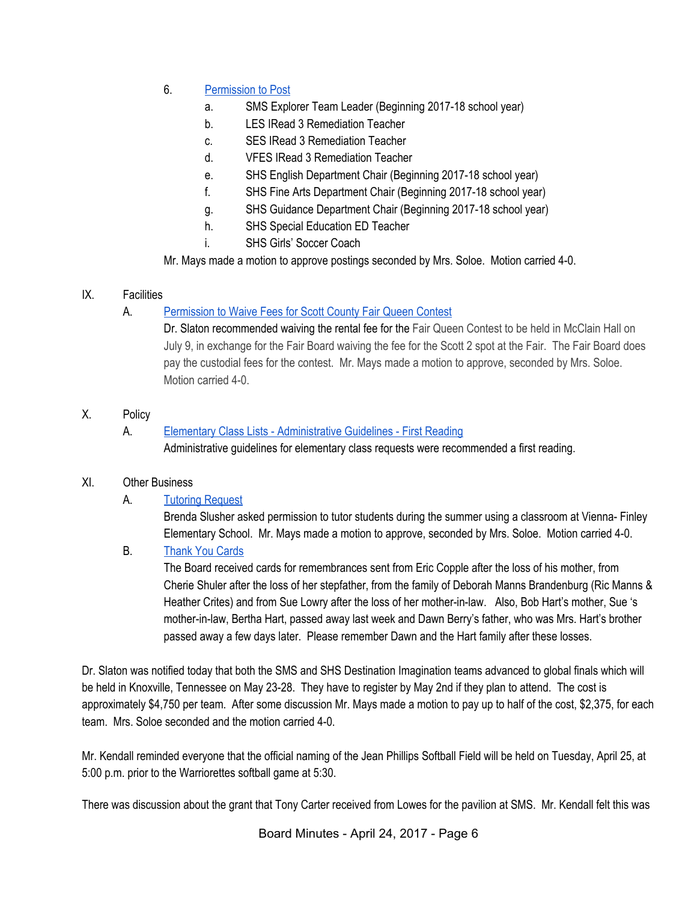- 6. [Permission](https://docs.google.com/document/d/1K-UlCrCwZMFD7NLWm1jS5dPABTGpxevtrwKhRxxWKyQ/edit) to Post
	- a. SMS Explorer Team Leader (Beginning 2017-18 school year)
	- b. LES IRead 3 Remediation Teacher
	- c. SES IRead 3 Remediation Teacher
	- d. VFES IRead 3 Remediation Teacher
	- e. SHS English Department Chair (Beginning 2017-18 school year)
	- f. SHS Fine Arts Department Chair (Beginning 2017-18 school year)
	- g. SHS Guidance Department Chair (Beginning 2017-18 school year)
	- h. SHS Special Education ED Teacher
	- i. SHS Girls' Soccer Coach

Mr. Mays made a motion to approve postings seconded by Mrs. Soloe. Motion carried 4-0.

#### IX. Facilities

# A. [Permission](https://drive.google.com/file/d/0BxXvxnGh3EX1TC1yRnZGZk9XVXdJeWYxSC1mU19tamRLcVJn/view) to Waive Fees for Scott County Fair Queen Contest

Dr. Slaton recommended waiving the rental fee for the Fair Queen Contest to be held in McClain Hall on July 9, in exchange for the Fair Board waiving the fee for the Scott 2 spot at the Fair. The Fair Board does pay the custodial fees for the contest. Mr. Mays made a motion to approve, seconded by Mrs. Soloe. Motion carried 4-0.

X. Policy

#### A. **Elementary Class Lists - [Administrative](https://docs.google.com/document/d/1L1AGnv06mzB4EgyBJbJpcxpe1oAsG3rH4w2eTa81zqs/edit?ts=58f653db) Guidelines - First Reading** Administrative guidelines for elementary class requests were recommended a first reading.

# XI. Other Business

# A. Tutoring [Request](https://drive.google.com/file/d/0BxXvxnGh3EX1SHYyY2NPaHJEU0c2eDE0SVNwbktJSGVCOVBn/view)

Brenda Slusher asked permission to tutor students during the summer using a classroom at Vienna- Finley Elementary School. Mr. Mays made a motion to approve, seconded by Mrs. Soloe. Motion carried 4-0.

# B. [Thank](https://drive.google.com/file/d/0BxXvxnGh3EX1MHU3ZnFHaWxFdUhKS0hPdlFVV2p4LUlCcGtN/view) You Cards

The Board received cards for remembrances sent from Eric Copple after the loss of his mother, from Cherie Shuler after the loss of her stepfather, from the family of Deborah Manns Brandenburg (Ric Manns & Heather Crites) and from Sue Lowry after the loss of her mother-in-law. Also, Bob Hart's mother, Sue 's mother-in-law, Bertha Hart, passed away last week and Dawn Berry's father, who was Mrs. Hart's brother passed away a few days later. Please remember Dawn and the Hart family after these losses.

Dr. Slaton was notified today that both the SMS and SHS Destination Imagination teams advanced to global finals which will be held in Knoxville, Tennessee on May 23-28. They have to register by May 2nd if they plan to attend. The cost is approximately \$4,750 per team. After some discussion Mr. Mays made a motion to pay up to half of the cost, \$2,375, for each team. Mrs. Soloe seconded and the motion carried 4-0.

Mr. Kendall reminded everyone that the official naming of the Jean Phillips Softball Field will be held on Tuesday, April 25, at 5:00 p.m. prior to the Warriorettes softball game at 5:30.

There was discussion about the grant that Tony Carter received from Lowes for the pavilion at SMS. Mr. Kendall felt this was